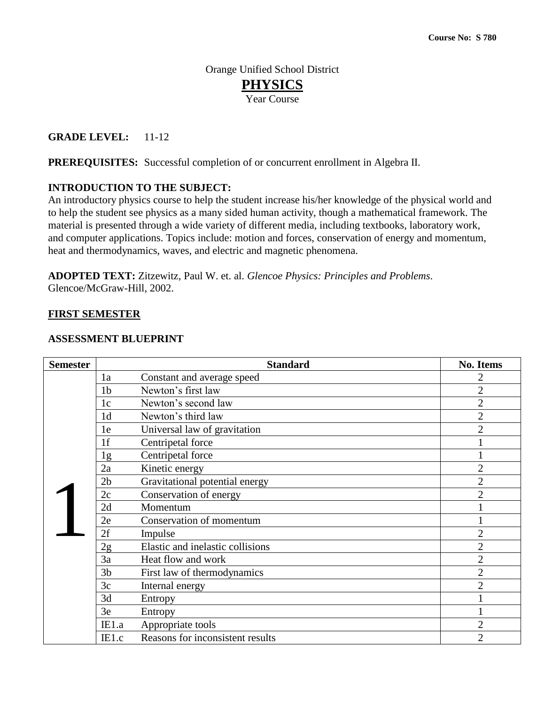# Orange Unified School District **PHYSICS** Year Course

# **GRADE LEVEL:** 11-12

**PREREQUISITES:** Successful completion of or concurrent enrollment in Algebra II.

# **INTRODUCTION TO THE SUBJECT:**

An introductory physics course to help the student increase his/her knowledge of the physical world and to help the student see physics as a many sided human activity, though a mathematical framework. The material is presented through a wide variety of different media, including textbooks, laboratory work, and computer applications. Topics include: motion and forces, conservation of energy and momentum, heat and thermodynamics, waves, and electric and magnetic phenomena.

**ADOPTED TEXT:** Zitzewitz, Paul W. et. al. *Glencoe Physics: Principles and Problems*. Glencoe/McGraw-Hill, 2002.

## **FIRST SEMESTER**

### **ASSESSMENT BLUEPRINT**

| <b>Semester</b> |                                | <b>Standard</b>                  | <b>No. Items</b> |
|-----------------|--------------------------------|----------------------------------|------------------|
|                 | 1a                             | Constant and average speed       | 2                |
|                 | 1 <sub>b</sub>                 | Newton's first law               | $\overline{2}$   |
|                 | 1 <sub>c</sub>                 | Newton's second law              | $\overline{2}$   |
|                 | 1 <sub>d</sub>                 | Newton's third law               | $\overline{2}$   |
|                 | 1e                             | Universal law of gravitation     | $\overline{2}$   |
|                 | 1f                             | Centripetal force                |                  |
|                 | 1g                             | Centripetal force                |                  |
|                 | 2a                             | Kinetic energy                   | $\overline{2}$   |
|                 | 2 <sub>b</sub>                 | Gravitational potential energy   | $\overline{2}$   |
|                 | 2c                             | Conservation of energy           | $\overline{2}$   |
|                 | 2d                             | Momentum                         |                  |
|                 | Conservation of momentum<br>2e |                                  |                  |
|                 | 2f                             | Impulse                          | $\overline{2}$   |
|                 | 2g                             | Elastic and inelastic collisions | $\overline{2}$   |
|                 | Heat flow and work<br>3a       | $\overline{2}$                   |                  |
|                 | 3 <sub>b</sub>                 | First law of thermodynamics      | $\overline{2}$   |
|                 | 3c                             | Internal energy                  | $\overline{2}$   |
|                 | 3d                             | Entropy                          |                  |
|                 | 3e                             | Entropy                          |                  |
|                 | IE1.a                          | Appropriate tools                | $\overline{2}$   |
|                 | IE1.c                          | Reasons for inconsistent results | $\overline{2}$   |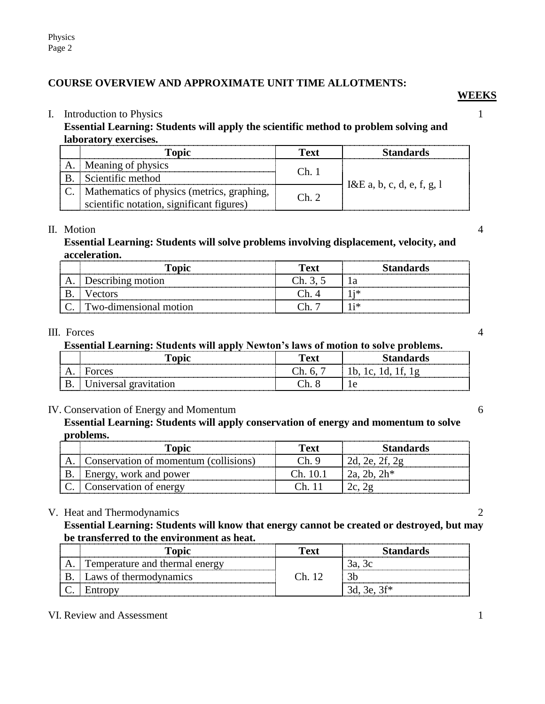# **COURSE OVERVIEW AND APPROXIMATE UNIT TIME ALLOTMENTS:**

#### I. Introduction to Physics 1

**Essential Learning: Students will apply the scientific method to problem solving and laboratory exercises.** 

| Topic                                                                                        | Text  | <b>Standards</b>              |
|----------------------------------------------------------------------------------------------|-------|-------------------------------|
| .   Meaning of physics                                                                       |       |                               |
| Scientific method                                                                            | Ch. . |                               |
| C.   Mathematics of physics (metrics, graphing,<br>scientific notation, significant figures) | Ch.2  | $I\&E$ a, b, c, d, e, f, g, l |

#### II. Motion 4

**Essential Learning: Students will solve problems involving displacement, velocity, and acceleration.** 

| 'opic                  | ïρv' | <b>Standards</b> |
|------------------------|------|------------------|
| Describing motion      |      |                  |
|                        |      |                  |
| Two-dimensional motion |      |                  |

#### III. Forces 4

**Essential Learning: Students will apply Newton's laws of motion to solve problems.**

| ----------<br>-----------           | 'onic<br> | `ext       | lards<br>--------------------- |
|-------------------------------------|-----------|------------|--------------------------------|
| ъ.<br>$\overline{\phantom{a}}$<br>. |           | -<br>∴ ch. |                                |
|                                     | oui       | ь          | $\Omega$                       |

### IV. Conservation of Energy and Momentum 6

**Essential Learning: Students will apply conservation of energy and momentum to solve problems.**

| Topic                                 | Text | Standards    |
|---------------------------------------|------|--------------|
| Conservation of momentum (collisions) |      |              |
| Energy, work and power                | r 'h | 7h 7h*<br>2a |
| C. Conservation of energy             |      |              |

### V. Heat and Thermodynamics 2

**Essential Learning: Students will know that energy cannot be created or destroyed, but may be transferred to the environment as heat.**

| l'opic                         | l'avt | Standards |
|--------------------------------|-------|-----------|
| Temperature and thermal energy |       |           |
| B.   Laws of thermodynamics    |       |           |
|                                |       |           |

VI. Review and Assessment 1

**WEEKS**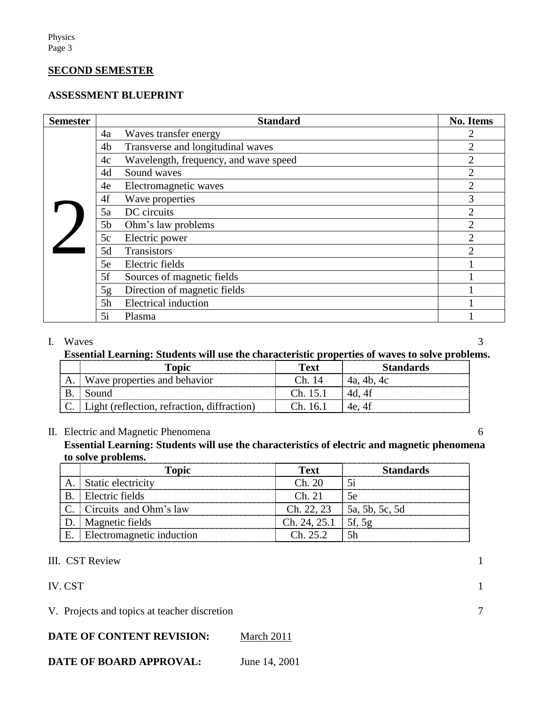### **SECOND SEMESTER**

#### **ASSESSMENT BLUEPRINT**

| <b>Semester</b> |    | <b>Standard</b>                       | <b>No. Items</b>            |
|-----------------|----|---------------------------------------|-----------------------------|
|                 | 4a | Waves transfer energy                 |                             |
|                 | 4b | Transverse and longitudinal waves     | 2                           |
|                 | 4c | Wavelength, frequency, and wave speed | $\mathcal{D}_{\mathcal{L}}$ |
|                 | 4d | Sound waves                           | 2                           |
|                 | 4e | Electromagnetic waves                 | 2                           |
|                 | 4f | Wave properties                       | 3                           |
|                 | 5a | DC circuits                           | $\mathfrak{D}$              |
|                 | 5b | Ohm's law problems                    | 2                           |
|                 | 5c | Electric power                        | $\mathcal{D}_{\mathcal{L}}$ |
|                 | 5d | Transistors                           |                             |
|                 | 5e | Electric fields                       |                             |
|                 | 5f | Sources of magnetic fields            |                             |
|                 | 5g | Direction of magnetic fields          |                             |
|                 | 5h | <b>Electrical induction</b>           |                             |
|                 | 5i | Plasma                                |                             |

#### I. Waves 3

# **Essential Learning: Students will use the characteristic properties of waves to solve problems.**

| Fopic                                          | Text | Standards  |
|------------------------------------------------|------|------------|
| Wave properties and behavior                   |      | 4a. 4b. 4c |
|                                                |      | 4d. 4t     |
| C. Light (reflection, refraction, diffraction) |      | 4e 4t      |

#### II. Electric and Magnetic Phenomena 6

**Essential Learning: Students will use the characteristics of electric and magnetic phenomena to solve problems.** 

|   | <b>Topic</b>              | 'Fext        | <b>Standards</b>                      |
|---|---------------------------|--------------|---------------------------------------|
|   | Static electricity        | Ch.20        |                                       |
|   | Electric fields           | Ch 21        | 5e                                    |
|   | C. Circuits and Ohm's law |              | Ch. 22, 23 $\parallel$ 5a, 5b, 5c, 5d |
|   | <b>Magnetic fields</b>    | Ch. 24, 25.1 |                                       |
| E | Electromagnetic induction | Ch 252       |                                       |

#### III. CST Review 1

IV. CST and the state of the state of the state of the state of the state of the state of the state of the state of the state of the state of the state of the state of the state of the state of the state of the state of th

V. Projects and topics at teacher discretion 7

# **DATE OF CONTENT REVISION:** March 2011

**DATE OF BOARD APPROVAL:** June 14, 2001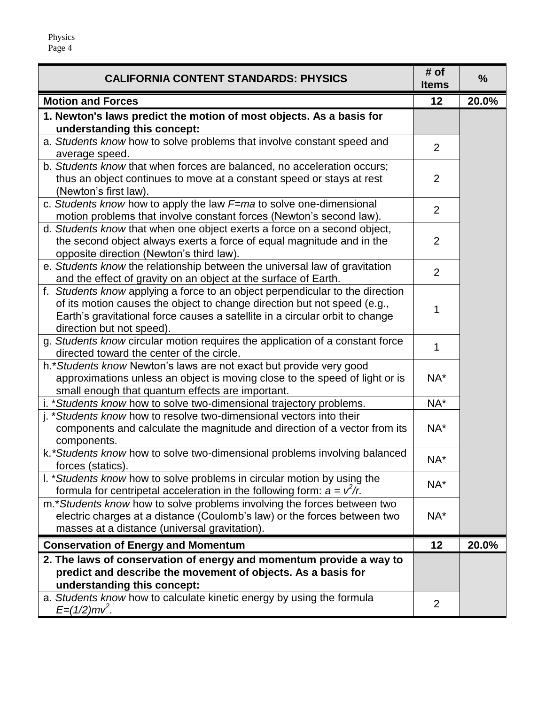Physics Page 4

| <b>CALIFORNIA CONTENT STANDARDS: PHYSICS</b>                                                                                                                                                                                                                           | # of<br><b>Items</b> | $\frac{0}{0}$ |
|------------------------------------------------------------------------------------------------------------------------------------------------------------------------------------------------------------------------------------------------------------------------|----------------------|---------------|
| <b>Motion and Forces</b>                                                                                                                                                                                                                                               | 12                   | 20.0%         |
| 1. Newton's laws predict the motion of most objects. As a basis for<br>understanding this concept:                                                                                                                                                                     |                      |               |
| a. Students know how to solve problems that involve constant speed and<br>average speed.                                                                                                                                                                               | $\overline{2}$       |               |
| b. Students know that when forces are balanced, no acceleration occurs;<br>thus an object continues to move at a constant speed or stays at rest<br>(Newton's first law).                                                                                              | $\overline{2}$       |               |
| c. Students know how to apply the law F=ma to solve one-dimensional<br>motion problems that involve constant forces (Newton's second law).                                                                                                                             | $\overline{2}$       |               |
| d. Students know that when one object exerts a force on a second object,<br>the second object always exerts a force of equal magnitude and in the<br>opposite direction (Newton's third law).                                                                          | $\overline{2}$       |               |
| e. Students know the relationship between the universal law of gravitation<br>and the effect of gravity on an object at the surface of Earth.                                                                                                                          | $\overline{2}$       |               |
| f. Students know applying a force to an object perpendicular to the direction<br>of its motion causes the object to change direction but not speed (e.g.,<br>Earth's gravitational force causes a satellite in a circular orbit to change<br>direction but not speed). | 1                    |               |
| g. Students know circular motion requires the application of a constant force<br>directed toward the center of the circle.                                                                                                                                             | 1                    |               |
| h.*Students know Newton's laws are not exact but provide very good<br>approximations unless an object is moving close to the speed of light or is<br>small enough that quantum effects are important.                                                                  | $NA^*$               |               |
| i. *Students know how to solve two-dimensional trajectory problems.                                                                                                                                                                                                    | $NA^*$               |               |
| j. *Students know how to resolve two-dimensional vectors into their<br>components and calculate the magnitude and direction of a vector from its<br>components.                                                                                                        | NA*                  |               |
| k. *Students know how to solve two-dimensional problems involving balanced<br>forces (statics).                                                                                                                                                                        | NA*                  |               |
| I. *Students know how to solve problems in circular motion by using the<br>formula for centripetal acceleration in the following form: $a = v^2/r$ .                                                                                                                   | $NA^*$               |               |
| m.*Students know how to solve problems involving the forces between two<br>electric charges at a distance (Coulomb's law) or the forces between two<br>masses at a distance (universal gravitation).                                                                   | $NA^*$               |               |
| <b>Conservation of Energy and Momentum</b>                                                                                                                                                                                                                             | 12                   | 20.0%         |
| 2. The laws of conservation of energy and momentum provide a way to<br>predict and describe the movement of objects. As a basis for<br>understanding this concept:                                                                                                     |                      |               |
| a. Students know how to calculate kinetic energy by using the formula<br>$E=(1/2)mv^2$ .                                                                                                                                                                               | $\overline{2}$       |               |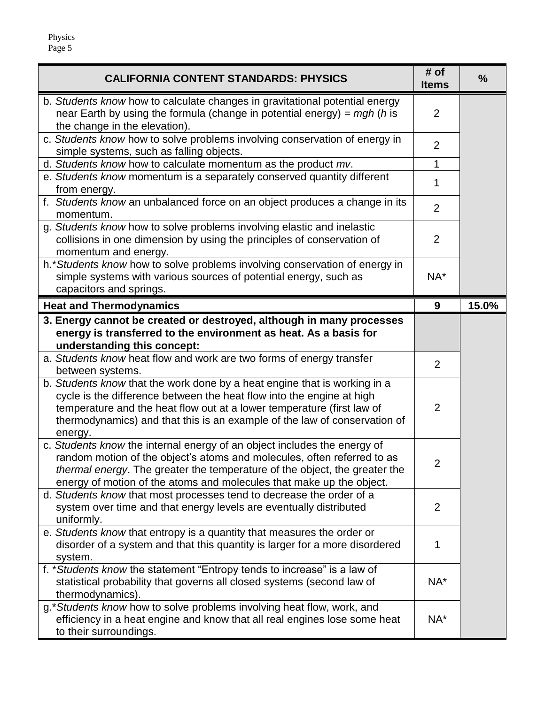| <b>CALIFORNIA CONTENT STANDARDS: PHYSICS</b>                                                                                                                                                                                                                                                                         | # of<br><b>Items</b> | $\frac{0}{0}$ |
|----------------------------------------------------------------------------------------------------------------------------------------------------------------------------------------------------------------------------------------------------------------------------------------------------------------------|----------------------|---------------|
| b. Students know how to calculate changes in gravitational potential energy<br>near Earth by using the formula (change in potential energy) = $mgh$ (h is<br>the change in the elevation).                                                                                                                           | $\overline{2}$       |               |
| c. Students know how to solve problems involving conservation of energy in<br>simple systems, such as falling objects.                                                                                                                                                                                               | $\overline{2}$       |               |
| d. Students know how to calculate momentum as the product mv.                                                                                                                                                                                                                                                        | 1                    |               |
| e. Students know momentum is a separately conserved quantity different<br>from energy.                                                                                                                                                                                                                               | 1                    |               |
| f. Students know an unbalanced force on an object produces a change in its<br>momentum.                                                                                                                                                                                                                              | $\overline{2}$       |               |
| g. Students know how to solve problems involving elastic and inelastic<br>collisions in one dimension by using the principles of conservation of<br>momentum and energy.                                                                                                                                             | $\overline{2}$       |               |
| h.*Students know how to solve problems involving conservation of energy in<br>simple systems with various sources of potential energy, such as<br>capacitors and springs.                                                                                                                                            | $NA^*$               |               |
| <b>Heat and Thermodynamics</b>                                                                                                                                                                                                                                                                                       | 9                    | 15.0%         |
| 3. Energy cannot be created or destroyed, although in many processes<br>energy is transferred to the environment as heat. As a basis for<br>understanding this concept:                                                                                                                                              |                      |               |
| a. Students know heat flow and work are two forms of energy transfer<br>between systems.                                                                                                                                                                                                                             | 2                    |               |
| b. Students know that the work done by a heat engine that is working in a<br>cycle is the difference between the heat flow into the engine at high<br>temperature and the heat flow out at a lower temperature (first law of<br>thermodynamics) and that this is an example of the law of conservation of<br>energy. | $\overline{2}$       |               |
| c. Students know the internal energy of an object includes the energy of<br>random motion of the object's atoms and molecules, often referred to as<br>thermal energy. The greater the temperature of the object, the greater the<br>energy of motion of the atoms and molecules that make up the object.            | 2                    |               |
| d. Students know that most processes tend to decrease the order of a<br>system over time and that energy levels are eventually distributed<br>uniformly.                                                                                                                                                             | 2                    |               |
| e. Students know that entropy is a quantity that measures the order or<br>disorder of a system and that this quantity is larger for a more disordered<br>system.                                                                                                                                                     | 1                    |               |
| f. *Students know the statement "Entropy tends to increase" is a law of<br>statistical probability that governs all closed systems (second law of<br>thermodynamics).                                                                                                                                                | NA*                  |               |
| g.*Students know how to solve problems involving heat flow, work, and<br>efficiency in a heat engine and know that all real engines lose some heat<br>to their surroundings.                                                                                                                                         | NA*                  |               |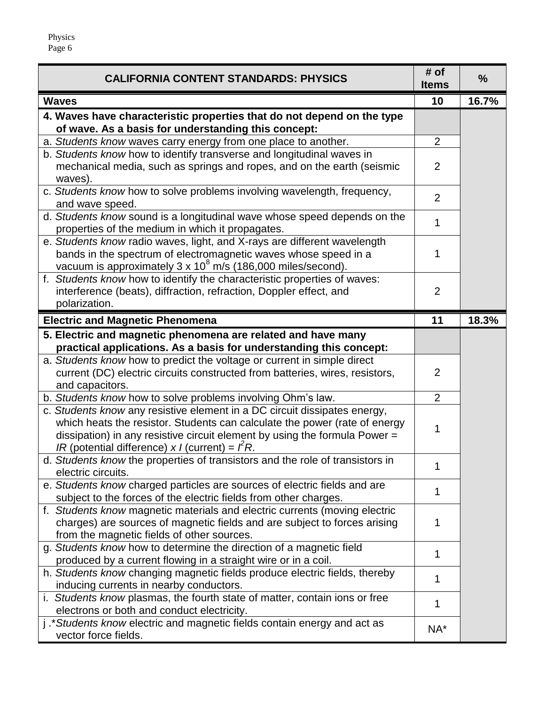Physics Page 6

| <b>CALIFORNIA CONTENT STANDARDS: PHYSICS</b>                                                                                                                                                                                                                                                                    | # of<br><b>Items</b> | $\frac{9}{6}$ |
|-----------------------------------------------------------------------------------------------------------------------------------------------------------------------------------------------------------------------------------------------------------------------------------------------------------------|----------------------|---------------|
| <b>Waves</b>                                                                                                                                                                                                                                                                                                    | 10                   | 16.7%         |
| 4. Waves have characteristic properties that do not depend on the type<br>of wave. As a basis for understanding this concept:                                                                                                                                                                                   |                      |               |
| a. Students know waves carry energy from one place to another.                                                                                                                                                                                                                                                  | $\overline{2}$       |               |
| b. Students know how to identify transverse and longitudinal waves in<br>mechanical media, such as springs and ropes, and on the earth (seismic<br>waves).                                                                                                                                                      | 2                    |               |
| c. Students know how to solve problems involving wavelength, frequency,<br>and wave speed.                                                                                                                                                                                                                      | $\overline{2}$       |               |
| d. Students know sound is a longitudinal wave whose speed depends on the<br>properties of the medium in which it propagates.                                                                                                                                                                                    | 1                    |               |
| e. Students know radio waves, light, and X-rays are different wavelength<br>bands in the spectrum of electromagnetic waves whose speed in a<br>vacuum is approximately $3 \times 10^8$ m/s (186,000 miles/second).                                                                                              | 1                    |               |
| f. Students know how to identify the characteristic properties of waves:<br>interference (beats), diffraction, refraction, Doppler effect, and<br>polarization.                                                                                                                                                 | $\overline{2}$       |               |
| <b>Electric and Magnetic Phenomena</b>                                                                                                                                                                                                                                                                          | 11                   | 18.3%         |
| 5. Electric and magnetic phenomena are related and have many<br>practical applications. As a basis for understanding this concept:                                                                                                                                                                              |                      |               |
| a. Students know how to predict the voltage or current in simple direct<br>current (DC) electric circuits constructed from batteries, wires, resistors,<br>and capacitors.                                                                                                                                      | 2                    |               |
| b. Students know how to solve problems involving Ohm's law.                                                                                                                                                                                                                                                     | $\overline{2}$       |               |
| c. Students know any resistive element in a DC circuit dissipates energy,<br>which heats the resistor. Students can calculate the power (rate of energy<br>dissipation) in any resistive circuit element by using the formula Power $=$<br><i>IR</i> (potential difference) <i>x I</i> (current) = $\hat{f}R$ . | 1                    |               |
| d. Students know the properties of transistors and the role of transistors in<br>electric circuits.                                                                                                                                                                                                             |                      |               |
| e. Students know charged particles are sources of electric fields and are<br>subject to the forces of the electric fields from other charges.                                                                                                                                                                   | 1                    |               |
| f. Students know magnetic materials and electric currents (moving electric<br>charges) are sources of magnetic fields and are subject to forces arising<br>from the magnetic fields of other sources.                                                                                                           | 1                    |               |
| g. Students know how to determine the direction of a magnetic field<br>produced by a current flowing in a straight wire or in a coil.                                                                                                                                                                           | 1                    |               |
| h. Students know changing magnetic fields produce electric fields, thereby<br>inducing currents in nearby conductors.                                                                                                                                                                                           | 1                    |               |
| i. Students know plasmas, the fourth state of matter, contain ions or free<br>electrons or both and conduct electricity.                                                                                                                                                                                        | 1                    |               |
| j.*Students know electric and magnetic fields contain energy and act as<br>vector force fields.                                                                                                                                                                                                                 | NA <sup>*</sup>      |               |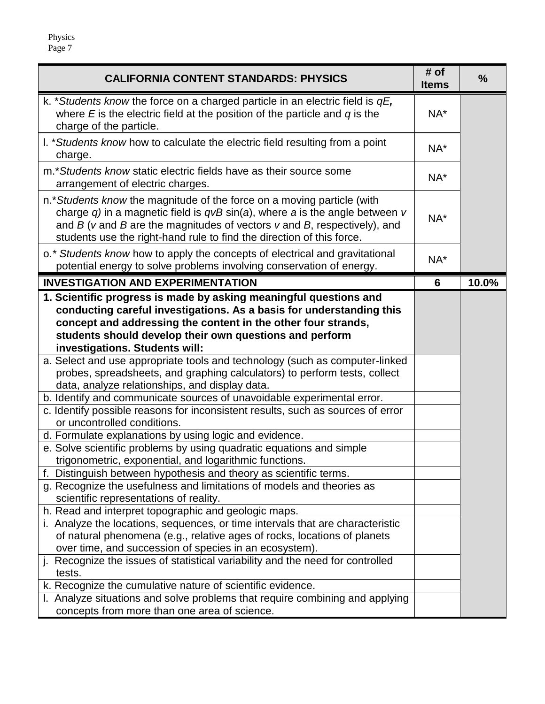| <b>CALIFORNIA CONTENT STANDARDS: PHYSICS</b>                                                                                                                                                                                                                                                                              | # of<br><b>Items</b> | $\frac{0}{0}$ |
|---------------------------------------------------------------------------------------------------------------------------------------------------------------------------------------------------------------------------------------------------------------------------------------------------------------------------|----------------------|---------------|
| k. *Students know the force on a charged particle in an electric field is $qE$ ,<br>where $E$ is the electric field at the position of the particle and $q$ is the<br>charge of the particle.                                                                                                                             | NA*                  |               |
| I. *Students know how to calculate the electric field resulting from a point<br>charge.                                                                                                                                                                                                                                   | NA*                  |               |
| m.*Students know static electric fields have as their source some<br>arrangement of electric charges.                                                                                                                                                                                                                     | NA*                  |               |
| n.*Students know the magnitude of the force on a moving particle (with<br>charge q) in a magnetic field is $qvB\sin(a)$ , where a is the angle between v<br>and $B$ ( $v$ and $B$ are the magnitudes of vectors $v$ and $B$ , respectively), and<br>students use the right-hand rule to find the direction of this force. | $NA^*$               |               |
| o. * Students know how to apply the concepts of electrical and gravitational<br>potential energy to solve problems involving conservation of energy.                                                                                                                                                                      | NA*                  |               |
| <b>INVESTIGATION AND EXPERIMENTATION</b>                                                                                                                                                                                                                                                                                  | 6                    | 10.0%         |
| 1. Scientific progress is made by asking meaningful questions and<br>conducting careful investigations. As a basis for understanding this<br>concept and addressing the content in the other four strands,<br>students should develop their own questions and perform<br>investigations. Students will:                   |                      |               |
| a. Select and use appropriate tools and technology (such as computer-linked<br>probes, spreadsheets, and graphing calculators) to perform tests, collect<br>data, analyze relationships, and display data.                                                                                                                |                      |               |
| b. Identify and communicate sources of unavoidable experimental error.<br>c. Identify possible reasons for inconsistent results, such as sources of error<br>or uncontrolled conditions.                                                                                                                                  |                      |               |
| d. Formulate explanations by using logic and evidence.<br>e. Solve scientific problems by using quadratic equations and simple<br>trigonometric, exponential, and logarithmic functions.                                                                                                                                  |                      |               |
| f. Distinguish between hypothesis and theory as scientific terms.<br>g. Recognize the usefulness and limitations of models and theories as<br>scientific representations of reality.                                                                                                                                      |                      |               |
| h. Read and interpret topographic and geologic maps.<br>i. Analyze the locations, sequences, or time intervals that are characteristic<br>of natural phenomena (e.g., relative ages of rocks, locations of planets<br>over time, and succession of species in an ecosystem).                                              |                      |               |
| j. Recognize the issues of statistical variability and the need for controlled<br>tests.<br>k. Recognize the cumulative nature of scientific evidence.                                                                                                                                                                    |                      |               |
| I. Analyze situations and solve problems that require combining and applying<br>concepts from more than one area of science.                                                                                                                                                                                              |                      |               |